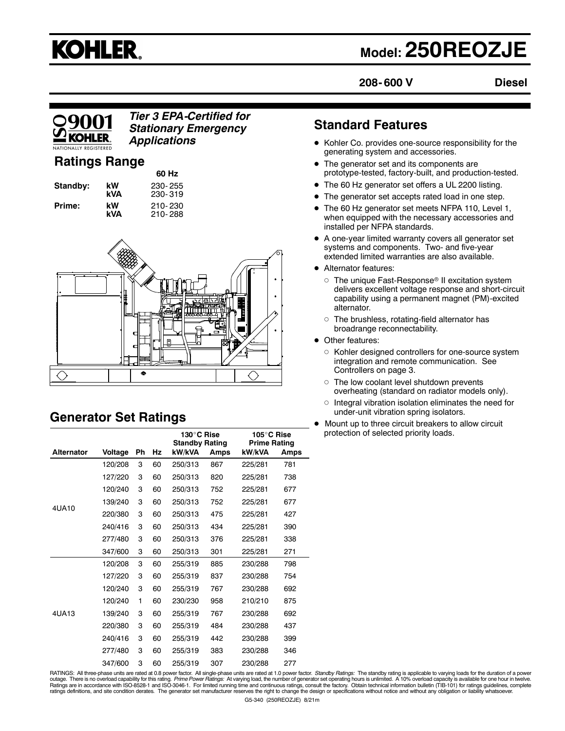# **KOHLER.**

# **Model: 250REOZJE**

**208- 600 V Diesel**

### *Tier 3 EPA-Certified for Stationary Emergency Applications*

### **Ratings Range**

|          |           | 60 Hz              |
|----------|-----------|--------------------|
| Standby: | kW<br>kVA | 230-255<br>230-319 |
| Prime:   | kW        | 210-230            |
|          | kVA       | 210-288            |



## **Generator Set Ratings**

|            |         |    |    | 130°C Rise<br><b>Standby Rating</b> |      | 105°C Rise<br><b>Prime Rating</b> |      |
|------------|---------|----|----|-------------------------------------|------|-----------------------------------|------|
| Alternator | Voltage | Ph | Hz | kW/kVA                              | Amps | kW/kVA                            | Amps |
|            | 120/208 | 3  | 60 | 250/313                             | 867  | 225/281                           | 781  |
|            | 127/220 | 3  | 60 | 250/313                             | 820  | 225/281                           | 738  |
|            | 120/240 | 3  | 60 | 250/313                             | 752  | 225/281                           | 677  |
| 4UA10      | 139/240 | 3  | 60 | 250/313                             | 752  | 225/281                           | 677  |
|            | 220/380 | 3  | 60 | 250/313                             | 475  | 225/281                           | 427  |
|            | 240/416 | 3  | 60 | 250/313                             | 434  | 225/281                           | 390  |
|            | 277/480 | 3  | 60 | 250/313                             | 376  | 225/281                           | 338  |
|            | 347/600 | 3  | 60 | 250/313                             | 301  | 225/281                           | 271  |
|            | 120/208 | 3  | 60 | 255/319                             | 885  | 230/288                           | 798  |
|            | 127/220 | 3  | 60 | 255/319                             | 837  | 230/288                           | 754  |
|            | 120/240 | 3  | 60 | 255/319                             | 767  | 230/288                           | 692  |
|            | 120/240 | 1  | 60 | 230/230                             | 958  | 210/210                           | 875  |
| 4UA13      | 139/240 | 3  | 60 | 255/319                             | 767  | 230/288                           | 692  |
|            | 220/380 | 3  | 60 | 255/319                             | 484  | 230/288                           | 437  |
|            | 240/416 | 3  | 60 | 255/319                             | 442  | 230/288                           | 399  |
|            | 277/480 | 3  | 60 | 255/319                             | 383  | 230/288                           | 346  |
|            | 347/600 | 3  | 60 | 255/319                             | 307  | 230/288                           | 277  |

### **Standard Features**

- Kohler Co. provides one-source responsibility for the generating system and accessories.
- The generator set and its components are prototype-tested, factory-built, and production-tested.
- The 60 Hz generator set offers a UL 2200 listing.
- The generator set accepts rated load in one step.
- The 60 Hz generator set meets NFPA 110, Level 1, when equipped with the necessary accessories and installed per NFPA standards.
- A one-year limited warranty covers all generator set systems and components. Two- and five-year extended limited warranties are also available.
- Alternator features:
	- $\circ~$  The unique Fast-Response® II excitation system delivers excellent voltage response and short-circuit capability using a permanent magnet (PM)-excited alternator.
	- $\circ~$  The brushless, rotating-field alternator has broadrange reconnectability.
- Other features:
	- o Kohler designed controllers for one-source system integration and remote communication. See Controllers on page 3.
	- The low coolant level shutdown prevents overheating (standard on radiator models only).
	- Integral vibration isolation eliminates the need for under-unit vibration spring isolators.
- Mount up to three circuit breakers to allow circuit protection of selected priority loads.

RATINGS: All three-phase units are rated at 0.8 power factor. All single-phase units are rated at 1.0 power factor. Standby Ratings: The standby rating is applicable to varying loads for the duration of a power outage. There is no overload capability for this rating. *Prime Power Ratings:* At varying load, the number of generator set operating hours is unlimited. A 10% overload capacity is available for one hour in twelve.<br>Rating ratings definitions, and site condition derates. The generator set manufacturer reserves the right to change the design or specifications without notice and without any obligation or liability whatsoever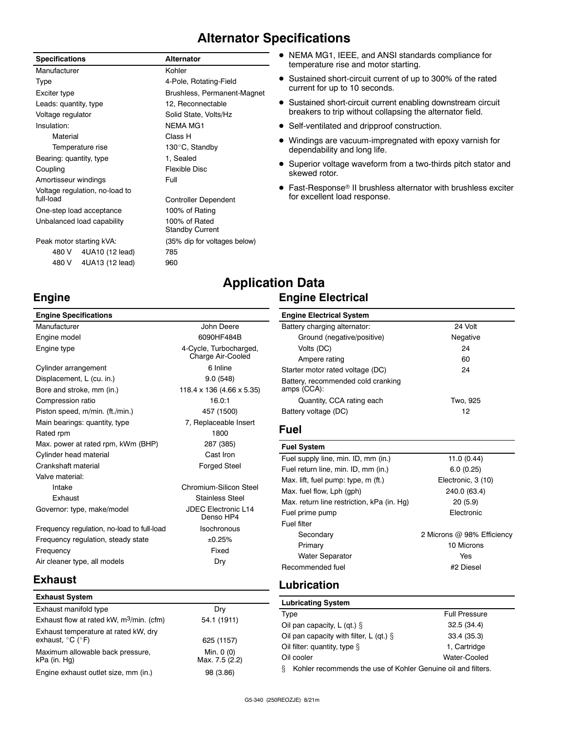### **Alternator Specifications**

### **Specifications Alternator**

| Manufacturer                   | Kohler                                  |
|--------------------------------|-----------------------------------------|
| Type                           | 4-Pole, Rotating-Field                  |
| Exciter type                   | Brushless, Permanent-Magnet             |
| Leads: quantity, type          | 12, Reconnectable                       |
| Voltage regulator              | Solid State, Volts/Hz                   |
| Insulation:                    | <b>NEMA MG1</b>                         |
| Material                       | Class H                                 |
| Temperature rise               | 130°C, Standby                          |
| Bearing: quantity, type        | 1, Sealed                               |
| Coupling                       | Flexible Disc                           |
| Amortisseur windings           | Full                                    |
| Voltage regulation, no-load to |                                         |
| full-load                      | Controller Dependent                    |
| One-step load acceptance       | 100% of Rating                          |
| Unbalanced load capability     | 100% of Rated<br><b>Standby Current</b> |
| Peak motor starting kVA:       | (35% dip for voltages below)            |
| 4UA10 (12 lead)<br>480 V       | 785                                     |
| 4UA13 (12 lead)<br>480 V       | 960                                     |

#### NEMA MG1, IEEE, and ANSI standards compliance for temperature rise and motor starting.

- Sustained short-circuit current of up to 300% of the rated current for up to 10 seconds.
- Sustained short-circuit current enabling downstream circuit breakers to trip without collapsing the alternator field.
- Self-ventilated and dripproof construction.
- Windings are vacuum-impregnated with epoxy varnish for dependability and long life.
- Superior voltage waveform from a two-thirds pitch stator and skewed rotor.
- Fast-Response® II brushless alternator with brushless exciter for excellent load response.

### **Engine**

| <b>Engine Specifications</b>               |                                             |
|--------------------------------------------|---------------------------------------------|
| Manufacturer                               | John Deere                                  |
| Engine model                               | 6090HF484B                                  |
| Engine type                                | 4-Cycle, Turbocharged,<br>Charge Air-Cooled |
| Cylinder arrangement                       | 6 Inline                                    |
| Displacement, L (cu. in.)                  | 9.0(548)                                    |
| Bore and stroke, mm (in.)                  | 118.4 x 136 (4.66 x 5.35)                   |
| Compression ratio                          | 16.0:1                                      |
| Piston speed, m/min. (ft./min.)            | 457 (1500)                                  |
| Main bearings: quantity, type              | 7, Replaceable Insert                       |
| Rated rpm                                  | 1800                                        |
| Max. power at rated rpm, kWm (BHP)         | 287 (385)                                   |
| Cylinder head material                     | Cast Iron                                   |
| Crankshaft material                        | <b>Forged Steel</b>                         |
| Valve material:                            |                                             |
| Intake                                     | Chromium-Silicon Steel                      |
| Exhaust                                    | <b>Stainless Steel</b>                      |
| Governor: type, make/model                 | JDEC Electronic L14<br>Denso HP4            |
| Frequency regulation, no-load to full-load | Isochronous                                 |
| Frequency regulation, steady state         | ±0.25%                                      |
| Frequency                                  | Fixed                                       |

### **Application Data Engine Electrical**

#### **Engine Electrical System**

| Engine Electrical cyclem                          |          |
|---------------------------------------------------|----------|
| Battery charging alternator:                      | 24 Volt  |
| Ground (negative/positive)                        | Negative |
| Volts (DC)                                        | 24       |
| Ampere rating                                     | 60       |
| Starter motor rated voltage (DC)                  | 24       |
| Battery, recommended cold cranking<br>amps (CCA): |          |
| Quantity, CCA rating each                         | Two, 925 |
| Battery voltage (DC)                              | 12       |
|                                                   |          |

### **Fuel**

| <b>Fuel System</b>                         |                            |
|--------------------------------------------|----------------------------|
| Fuel supply line, min. ID, mm (in.)        | 11.0 $(0.44)$              |
| Fuel return line, min. ID, mm (in.)        | 6.0(0.25)                  |
| Max. lift, fuel pump: type, m (ft.)        | Electronic, 3 (10)         |
| Max. fuel flow, Lph (gph)                  | 240.0 (63.4)               |
| Max. return line restriction, kPa (in. Hq) | 20(5.9)                    |
| Fuel prime pump                            | Flectronic                 |
| Fuel filter                                |                            |
| Secondary                                  | 2 Microns @ 98% Efficiency |
| Primary                                    | 10 Microns                 |
| <b>Water Separator</b>                     | Yes                        |
| Recommended fuel                           | #2 Diesel                  |

### **Exhaust**

| <b>Exhaust System</b>                                                         |                              |
|-------------------------------------------------------------------------------|------------------------------|
| Exhaust manifold type                                                         | Dry                          |
| Exhaust flow at rated kW, $m^3/m$ in. (cfm)                                   | 54.1 (1911)                  |
| Exhaust temperature at rated kW, dry<br>exhaust, $^{\circ}$ C ( $^{\circ}$ F) | 625 (1157)                   |
| Maximum allowable back pressure,<br>kPa (in. Hg)                              | Min. 0 (0)<br>Max. 7.5 (2.2) |
| Engine exhaust outlet size, mm (in.)                                          | 98 (3.86)                    |

Air cleaner type, all models Dry

### **Lubrication**

| <b>Lubricating System</b>                                         |                      |  |
|-------------------------------------------------------------------|----------------------|--|
| Type                                                              | <b>Full Pressure</b> |  |
| Oil pan capacity, L (qt.) $\S$                                    | 32.5(34.4)           |  |
| Oil pan capacity with filter, L (qt.) $\S$                        | 33.4 (35.3)          |  |
| Oil filter: quantity, type §                                      | 1. Cartridge         |  |
| Oil cooler                                                        | Water-Cooled         |  |
| Kohler recommends the use of Kohler Genuine oil and filters.<br>ş |                      |  |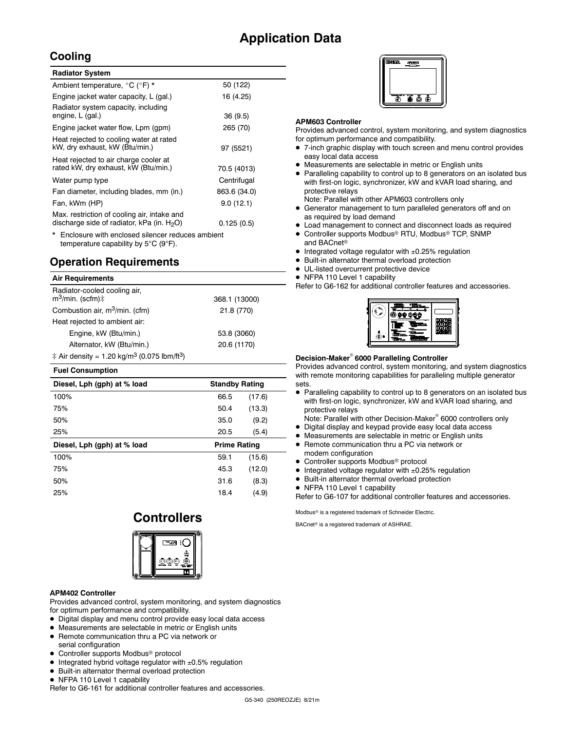### **Application Data**

### **Cooling**

| <b>Radiator System</b>                                                                       |              |
|----------------------------------------------------------------------------------------------|--------------|
| Ambient temperature, °C (°F) *                                                               | 50 (122)     |
| Engine jacket water capacity, L (gal.)                                                       | 16 (4.25)    |
| Radiator system capacity, including<br>engine, L (gal.)                                      | 36(9.5)      |
| Engine jacket water flow, Lpm (gpm)                                                          | 265 (70)     |
| Heat rejected to cooling water at rated<br>kW, dry exhaust, kW (Btu/min.)                    | 97 (5521)    |
| Heat rejected to air charge cooler at<br>rated kW, dry exhaust, kW (Btu/min.)                | 70.5 (4013)  |
| Water pump type                                                                              | Centrifugal  |
| Fan diameter, including blades, mm (in.)                                                     | 863.6 (34.0) |
| Fan, kWm (HP)                                                                                | 9.0(12.1)    |
| Max. restriction of cooling air, intake and<br>discharge side of radiator, kPa (in. $H_2O$ ) | 0.125(0.5)   |
| * Enclosure with enclosed silencer reduces ambient                                           |              |

\* Enclosure with enclosed silencer reduces ambient temperature capability by 5°C (9°F).

### **Operation Requirements**

#### **Air Requirements**

| Radiator-cooled cooling air,<br>$m^3$ /min. (scfm) $\mp$            | 368.1 (13000) |
|---------------------------------------------------------------------|---------------|
| Combustion air, m <sup>3</sup> /min. (cfm)                          | 21.8 (770)    |
| Heat rejected to ambient air:                                       |               |
| Engine, kW (Btu/min.)                                               | 53.8 (3060)   |
| Alternator, kW (Btu/min.)                                           | 20.6 (1170)   |
| ‡ Air density = 1.20 kg/m <sup>3</sup> (0.075 lbm/ft <sup>3</sup> ) |               |

#### **Fuel Consumption**

| Diesel, Lph (gph) at % load | <b>Standby Rating</b> |              |  |  |
|-----------------------------|-----------------------|--------------|--|--|
| 100%                        | 66.5                  | (17.6)       |  |  |
| 75%                         | 50.4                  | (13.3)       |  |  |
| 50%                         | 35.0                  | (9.2)        |  |  |
| 25%                         | 20.5                  | (5.4)        |  |  |
| Diesel, Lph (gph) at % load |                       | Prime Rating |  |  |
|                             |                       |              |  |  |
| 100%                        | 59.1                  | (15.6)       |  |  |
| 75%                         | 45.3                  | (12.0)       |  |  |
| 50%                         | 31.6                  | (8.3)        |  |  |
| 25%                         | 18.4                  | (4.9)        |  |  |

### **Controllers**



#### **APM402 Controller**

Provides advanced control, system monitoring, and system diagnostics for optimum performance and compatibility.

- Digital display and menu control provide easy local data access
- Measurements are selectable in metric or English units
- Remote communication thru a PC via network or
- serial configuration
- Controller supports Modbus<sup>®</sup> protocol
- $\bullet$  Integrated hybrid voltage regulator with  $\pm 0.5\%$  regulation
- Built-in alternator thermal overload protection
- NFPA 110 Level 1 capability

Refer to G6-161 for additional controller features and accessories.

#### **APM603 Controller**

Provides advanced control, system monitoring, and system diagnostics for optimum performance and compatibility.

- 7-inch graphic display with touch screen and menu control provides easy local data access
- Measurements are selectable in metric or English units
- Paralleling capability to control up to 8 generators on an isolated bus with first-on logic, synchronizer, kW and kVAR load sharing, and protective relays
- Note: Parallel with other APM603 controllers only Generator management to turn paralleled generators off and on
- as required by load demand
- Load management to connect and disconnect loads as required
- Controller supports Modbus<sup>®</sup> RTU, Modbus<sup>®</sup> TCP, SNMP and BACnet<sup>®</sup>
- $\bullet$  Integrated voltage regulator with  $\pm 0.25\%$  regulation
- Built-in alternator thermal overload protection
- UL-listed overcurrent protective device
- NFPA 110 Level 1 capability
- Refer to G6-162 for additional controller features and accessories.



#### **Decision-Maker 6000 Paralleling Controller**

Provides advanced control, system monitoring, and system diagnostics with remote monitoring capabilities for paralleling multiple generator sets.

 Paralleling capability to control up to 8 generators on an isolated bus with first-on logic, synchronizer, kW and kVAR load sharing, and protective relays

Note: Parallel with other Decision-Maker<sup>®</sup> 6000 controllers only

- Digital display and keypad provide easy local data access
- Measurements are selectable in metric or English units
- Remote communication thru a PC via network or modem configuration
- Controller supports Modbus<sup>®</sup> protocol
- $\bullet$  Integrated voltage regulator with  $\pm 0.25\%$  regulation
- Built-in alternator thermal overload protection
- NFPA 110 Level 1 capability

Refer to G6-107 for additional controller features and accessories.

Modbus<sup>®</sup> is a registered trademark of Schneider Electric.

BACnet<sup>®</sup> is a registered trademark of ASHRAE.